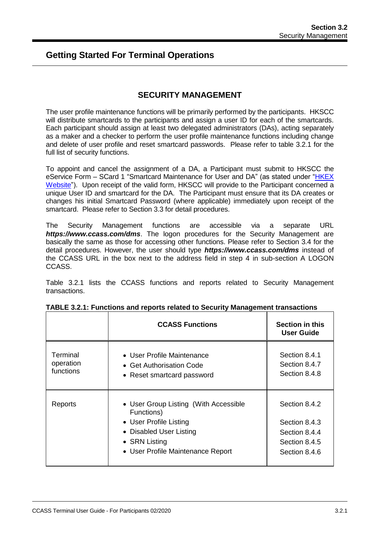## **Getting Started For Terminal Operations**

## **SECURITY MANAGEMENT**

The user profile maintenance functions will be primarily performed by the participants. HKSCC will distribute smartcards to the participants and assign a user ID for each of the smartcards. Each participant should assign at least two delegated administrators (DAs), acting separately as a maker and a checker to perform the user profile maintenance functions including change and delete of user profile and reset smartcard passwords. Please refer to table 3.2.1 for the full list of security functions.

To appoint and cancel the assignment of a DA, a Participant must submit to HKSCC the eService Form – SCard 1 "Smartcard Maintenance for User and DA" (as stated under ["HKEX](http://www.hkex.com.hk/Services/Rules-and-Forms-and-Fees/Forms/Securities-(Hong-Kong)/Clearing/Participantship-Membership?sc_lang=en) [Website"](http://www.hkex.com.hk/Services/Rules-and-Forms-and-Fees/Forms/Securities-(Hong-Kong)/Clearing/Participantship-Membership?sc_lang=en)). Upon receipt of the valid form, HKSCC will provide to the Participant concerned a unique User ID and smartcard for the DA. The Participant must ensure that its DA creates or changes his initial Smartcard Password (where applicable) immediately upon receipt of the smartcard. Please refer to Section 3.3 for detail procedures.

The Security Management functions are accessible via a separate URL *https://www.ccass.com/dms*. The logon procedures for the Security Management are basically the same as those for accessing other functions. Please refer to Section 3.4 for the detail procedures. However, the user should type *https://www.ccass.com/dms* instead of the CCASS URL in the box next to the address field in step 4 in sub-section A LOGON CCASS.

Table 3.2.1 lists the CCASS functions and reports related to Security Management transactions.

|                                    | <b>CCASS Functions</b>                                                                                                                                         | <b>Section in this</b><br>User Guide                                              |
|------------------------------------|----------------------------------------------------------------------------------------------------------------------------------------------------------------|-----------------------------------------------------------------------------------|
| Terminal<br>operation<br>functions | • User Profile Maintenance<br>$\bullet$ Get Authorisation Code<br>• Reset smartcard password                                                                   | Section 8.4.1<br>Section 8.4.7<br>Section 8.4.8                                   |
| Reports                            | • User Group Listing (With Accessible<br>Functions)<br>• User Profile Listing<br>• Disabled User Listing<br>• SRN Listing<br>• User Profile Maintenance Report | Section 8.4.2<br>Section 8.4.3<br>Section 8.4.4<br>Section 8.4.5<br>Section 8.4.6 |

| TABLE 3.2.1: Functions and reports related to Security Management transactions |  |
|--------------------------------------------------------------------------------|--|
|--------------------------------------------------------------------------------|--|